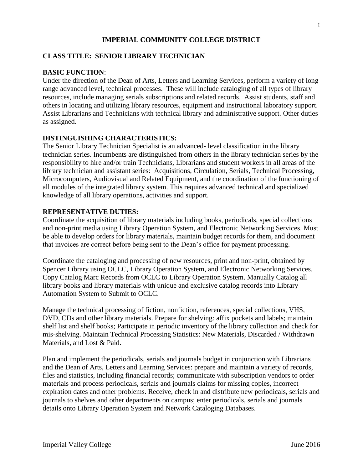## **IMPERIAL COMMUNITY COLLEGE DISTRICT**

## **CLASS TITLE: SENIOR LIBRARY TECHNICIAN**

### **BASIC FUNCTION**:

Under the direction of the Dean of Arts, Letters and Learning Services, perform a variety of long range advanced level, technical processes. These will include cataloging of all types of library resources, include managing serials subscriptions and related records. Assist students, staff and others in locating and utilizing library resources, equipment and instructional laboratory support. Assist Librarians and Technicians with technical library and administrative support. Other duties as assigned.

### **DISTINGUISHING CHARACTERISTICS:**

The Senior Library Technician Specialist is an advanced- level classification in the library technician series. Incumbents are distinguished from others in the library technician series by the responsibility to hire and/or train Technicians, Librarians and student workers in all areas of the library technician and assistant series: Acquisitions, Circulation, Serials, Technical Processing, Microcomputers, Audiovisual and Related Equipment, and the coordination of the functioning of all modules of the integrated library system. This requires advanced technical and specialized knowledge of all library operations, activities and support.

### **REPRESENTATIVE DUTIES:**

Coordinate the acquisition of library materials including books, periodicals, special collections and non-print media using Library Operation System, and Electronic Networking Services. Must be able to develop orders for library materials, maintain budget records for them, and document that invoices are correct before being sent to the Dean's office for payment processing.

Coordinate the cataloging and processing of new resources, print and non-print, obtained by Spencer Library using OCLC, Library Operation System, and Electronic Networking Services. Copy Catalog Marc Records from OCLC to Library Operation System. Manually Catalog all library books and library materials with unique and exclusive catalog records into Library Automation System to Submit to OCLC.

Manage the technical processing of fiction, nonfiction, references, special collections, VHS, DVD, CDs and other library materials. Prepare for shelving: affix pockets and labels; maintain shelf list and shelf books; Participate in periodic inventory of the library collection and check for mis-shelving. Maintain Technical Processing Statistics: New Materials, Discarded / Withdrawn Materials, and Lost & Paid.

Plan and implement the periodicals, serials and journals budget in conjunction with Librarians and the Dean of Arts, Letters and Learning Services: prepare and maintain a variety of records, files and statistics, including financial records; communicate with subscription vendors to order materials and process periodicals, serials and journals claims for missing copies, incorrect expiration dates and other problems. Receive, check in and distribute new periodicals, serials and journals to shelves and other departments on campus; enter periodicals, serials and journals details onto Library Operation System and Network Cataloging Databases.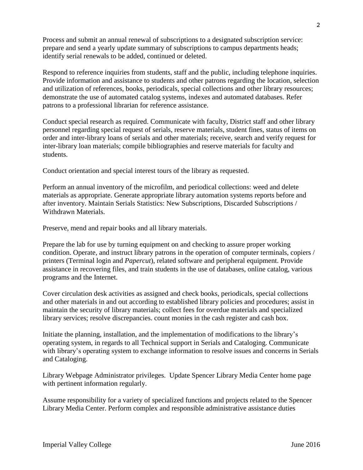Process and submit an annual renewal of subscriptions to a designated subscription service: prepare and send a yearly update summary of subscriptions to campus departments heads; identify serial renewals to be added, continued or deleted.

Respond to reference inquiries from students, staff and the public, including telephone inquiries. Provide information and assistance to students and other patrons regarding the location, selection and utilization of references, books, periodicals, special collections and other library resources; demonstrate the use of automated catalog systems, indexes and automated databases. Refer patrons to a professional librarian for reference assistance.

Conduct special research as required. Communicate with faculty, District staff and other library personnel regarding special request of serials, reserve materials, student fines, status of items on order and inter-library loans of serials and other materials; receive, search and verify request for inter-library loan materials; compile bibliographies and reserve materials for faculty and students.

Conduct orientation and special interest tours of the library as requested.

Perform an annual inventory of the microfilm, and periodical collections: weed and delete materials as appropriate. Generate appropriate library automation systems reports before and after inventory. Maintain Serials Statistics: New Subscriptions, Discarded Subscriptions / Withdrawn Materials.

Preserve, mend and repair books and all library materials.

Prepare the lab for use by turning equipment on and checking to assure proper working condition. Operate, and instruct library patrons in the operation of computer terminals, copiers / printers (Terminal login and *Papercut*), related software and peripheral equipment. Provide assistance in recovering files, and train students in the use of databases, online catalog, various programs and the Internet.

Cover circulation desk activities as assigned and check books, periodicals, special collections and other materials in and out according to established library policies and procedures; assist in maintain the security of library materials; collect fees for overdue materials and specialized library services; resolve discrepancies. count monies in the cash register and cash box.

Initiate the planning, installation, and the implementation of modifications to the library's operating system, in regards to all Technical support in Serials and Cataloging. Communicate with library's operating system to exchange information to resolve issues and concerns in Serials and Cataloging.

Library Webpage Administrator privileges. Update Spencer Library Media Center home page with pertinent information regularly.

Assume responsibility for a variety of specialized functions and projects related to the Spencer Library Media Center. Perform complex and responsible administrative assistance duties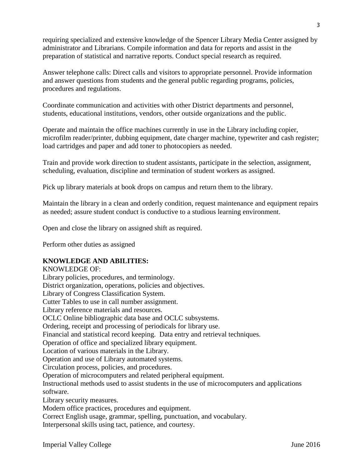requiring specialized and extensive knowledge of the Spencer Library Media Center assigned by administrator and Librarians. Compile information and data for reports and assist in the preparation of statistical and narrative reports. Conduct special research as required.

Answer telephone calls: Direct calls and visitors to appropriate personnel. Provide information and answer questions from students and the general public regarding programs, policies, procedures and regulations.

Coordinate communication and activities with other District departments and personnel, students, educational institutions, vendors, other outside organizations and the public.

Operate and maintain the office machines currently in use in the Library including copier, microfilm reader/printer, dubbing equipment, date charger machine, typewriter and cash register; load cartridges and paper and add toner to photocopiers as needed.

Train and provide work direction to student assistants, participate in the selection, assignment, scheduling, evaluation, discipline and termination of student workers as assigned.

Pick up library materials at book drops on campus and return them to the library.

Maintain the library in a clean and orderly condition, request maintenance and equipment repairs as needed; assure student conduct is conductive to a studious learning environment.

Open and close the library on assigned shift as required.

Perform other duties as assigned

### **KNOWLEDGE AND ABILITIES:**

KNOWLEDGE OF: Library policies, procedures, and terminology. District organization, operations, policies and objectives. Library of Congress Classification System. Cutter Tables to use in call number assignment. Library reference materials and resources. OCLC Online bibliographic data base and OCLC subsystems. Ordering, receipt and processing of periodicals for library use. Financial and statistical record keeping. Data entry and retrieval techniques. Operation of office and specialized library equipment. Location of various materials in the Library. Operation and use of Library automated systems. Circulation process, policies, and procedures. Operation of microcomputers and related peripheral equipment. Instructional methods used to assist students in the use of microcomputers and applications software. Library security measures. Modern office practices, procedures and equipment. Correct English usage, grammar, spelling, punctuation, and vocabulary.

Interpersonal skills using tact, patience, and courtesy.